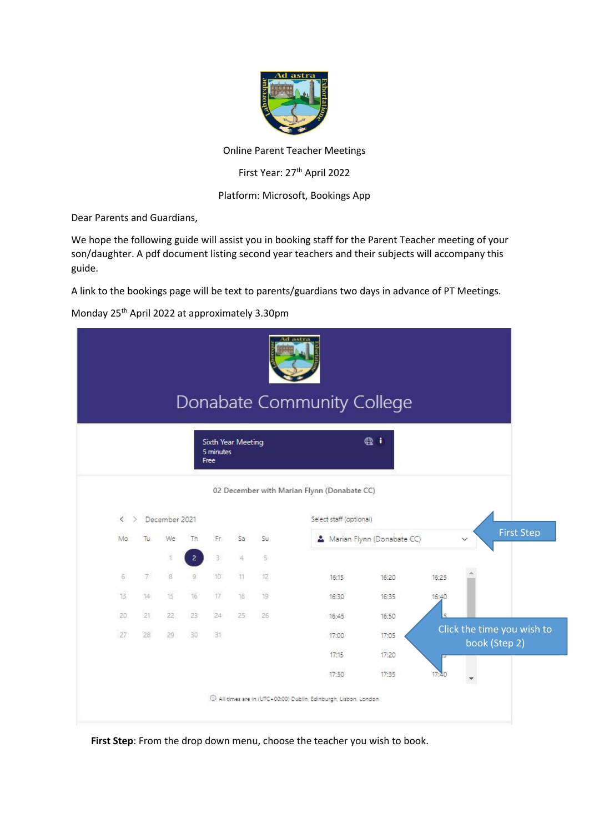

Online Parent Teacher Meetings

First Year: 27<sup>th</sup> April 2022

### Platform: Microsoft, Bookings App

Dear Parents and Guardians,

We hope the following guide will assist you in booking staff for the Parent Teacher meeting of your son/daughter. A pdf document listing second year teachers and their subjects will accompany this guide.

A link to the bookings page will be text to parents/guardians two days in advance of PT Meetings.

Monday 25th April 2022 at approximately 3.30pm

|                   |                 |                |                |                                         |                          |                |                                                                   |                         | Donabate Community College |       |                                   |
|-------------------|-----------------|----------------|----------------|-----------------------------------------|--------------------------|----------------|-------------------------------------------------------------------|-------------------------|----------------------------|-------|-----------------------------------|
|                   |                 |                |                | Sixth Year Meeting<br>5 minutes<br>Free |                          |                |                                                                   |                         | $Q_i$ i                    |       |                                   |
|                   |                 |                |                |                                         |                          |                | 02 December with Marian Flynn (Donabate CC)                       |                         |                            |       |                                   |
| $\langle \rangle$ |                 | December 2021  |                |                                         |                          |                |                                                                   | Select staff (optional) |                            |       |                                   |
| Mo                | Tu:             | We:            | Th             | Fr:                                     | Sa.                      | Su             |                                                                   |                         | Marian Flynn (Donabate CC) |       | <b>First Step</b><br>$\checkmark$ |
|                   |                 | T              | $\overline{2}$ | 3                                       | $\overline{\mathcal{A}}$ | $\overline{5}$ |                                                                   |                         |                            |       |                                   |
| 6                 | 7 <sup>1</sup>  | $\overline{8}$ | $\overline{9}$ | 10                                      | 11                       | 12             |                                                                   | 16:15.                  | 16:20                      | 16:25 |                                   |
| 13.               | 14              | 15             | 16             | 17                                      | 18                       | 19.            |                                                                   | 16:30                   | 16:35                      | 16:40 |                                   |
| 20                | 21              | 22             | 23             | 24.                                     | $25 -$                   | 26             |                                                                   | 16:45                   | 16:50                      |       |                                   |
| $-27$             | 28 <sup>2</sup> | 29             | 30             | 31                                      |                          |                |                                                                   | 17:00                   | 17:05                      |       | Click the time you wish to        |
|                   |                 |                |                |                                         |                          |                |                                                                   | 17:15                   | 17:20                      |       | book (Step 2)                     |
|                   |                 |                |                |                                         |                          |                |                                                                   | 17:30                   | 17:35                      | 17:40 | ۳                                 |
|                   |                 |                |                |                                         |                          |                | 1 All times are in (UTC+00:00) Dublin, Edinburgh, Lisbon, London. |                         |                            |       |                                   |

First Step: From the drop down menu, choose the teacher you wish to book.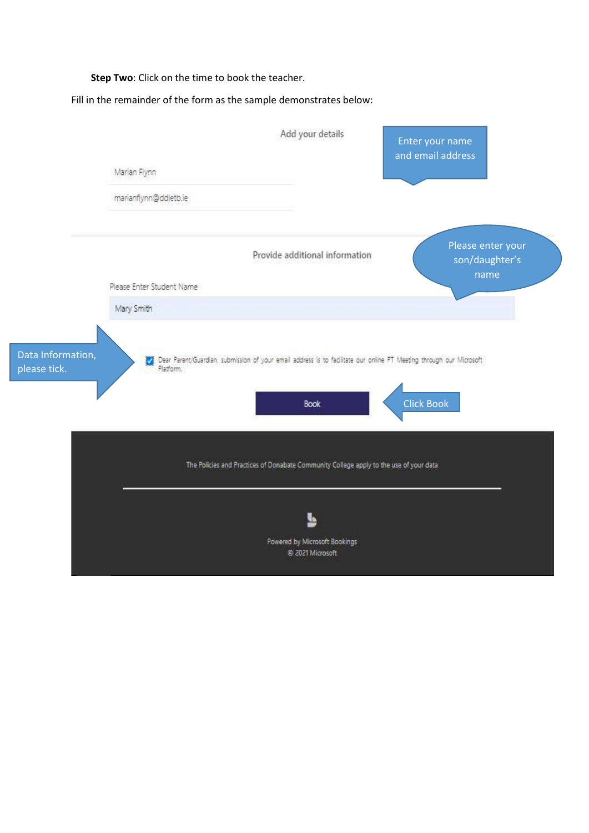**Step Two**: Click on the time to book the teacher.

Fill in the remainder of the form as the sample demonstrates below:

|                                   |                                         | Add your details                                                                                                                   | Enter your name<br>and email address |                                             |  |
|-----------------------------------|-----------------------------------------|------------------------------------------------------------------------------------------------------------------------------------|--------------------------------------|---------------------------------------------|--|
|                                   | Marian Flynn                            |                                                                                                                                    |                                      |                                             |  |
|                                   | marianflynn@ddletb.ie                   |                                                                                                                                    |                                      |                                             |  |
|                                   |                                         | Provide additional information                                                                                                     |                                      | Please enter your<br>son/daughter's<br>name |  |
|                                   | Please Enter Student Name<br>Mary Smith |                                                                                                                                    |                                      |                                             |  |
| Data Information,<br>please tick. | Platform.                               | Dear Parent/Guardian, submission of your email address is to facilitate our online PT Meeting through our Microsoft<br><b>Book</b> | <b>Click Book</b>                    |                                             |  |
|                                   |                                         | The Policies and Practices of Donabate Community College apply to the use of your data                                             |                                      |                                             |  |
|                                   |                                         | Powered by Microsoft Bookings<br>@ 2021 Microsoft                                                                                  |                                      |                                             |  |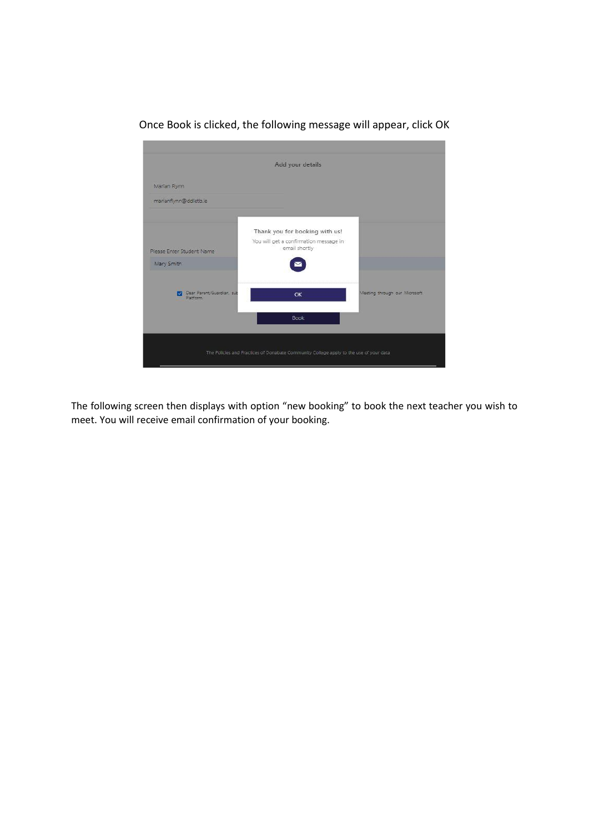

Once Book is clicked, the following message will appear, click OK

The following screen then displays with option "new booking" to book the next teacher you wish to meet. You will receive email confirmation of your booking.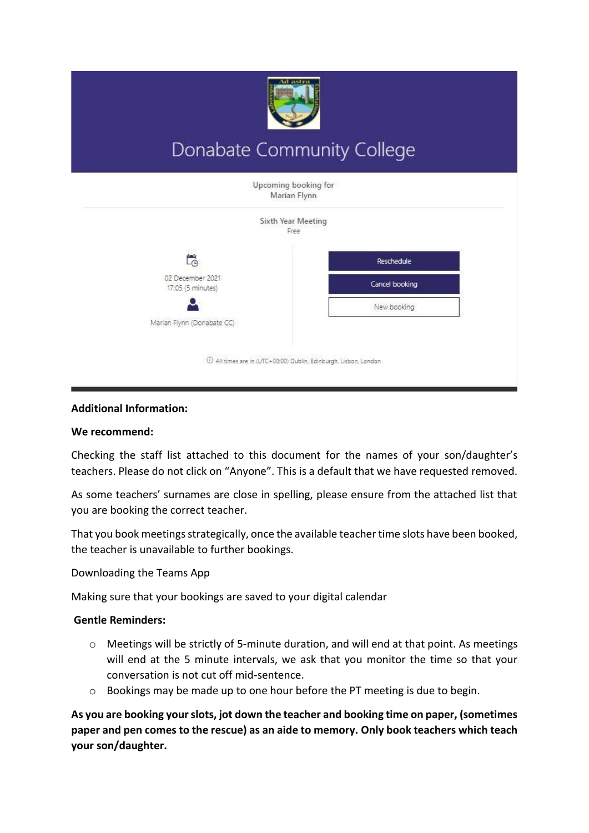

# Donabate Community College



## **Additional Information:**

## **We recommend:**

Checking the staff list attached to this document for the names of your son/daughter's teachers. Please do not click on "Anyone". This is a default that we have requested removed.

As some teachers' surnames are close in spelling, please ensure from the attached list that you are booking the correct teacher.

That you book meetings strategically, once the available teacher time slots have been booked, the teacher is unavailable to further bookings.

Downloading the Teams App

Making sure that your bookings are saved to your digital calendar

## **Gentle Reminders:**

- o Meetings will be strictly of 5-minute duration, and will end at that point. As meetings will end at the 5 minute intervals, we ask that you monitor the time so that your conversation is not cut off mid-sentence.
- $\circ$  Bookings may be made up to one hour before the PT meeting is due to begin.

**As you are booking your slots, jot down the teacher and booking time on paper, (sometimes paper and pen comes to the rescue) as an aide to memory. Only book teachers which teach your son/daughter.**